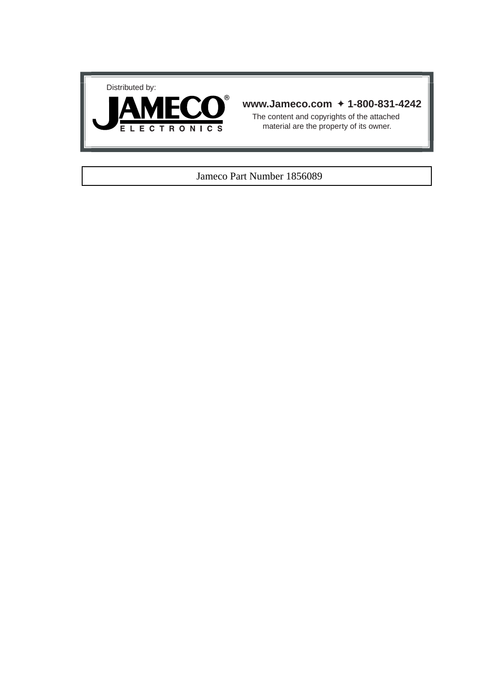



# **www.Jameco.com** ✦ **1-800-831-4242**

The content and copyrights of the attached material are the property of its owner.

# Jameco Part Number 1856089